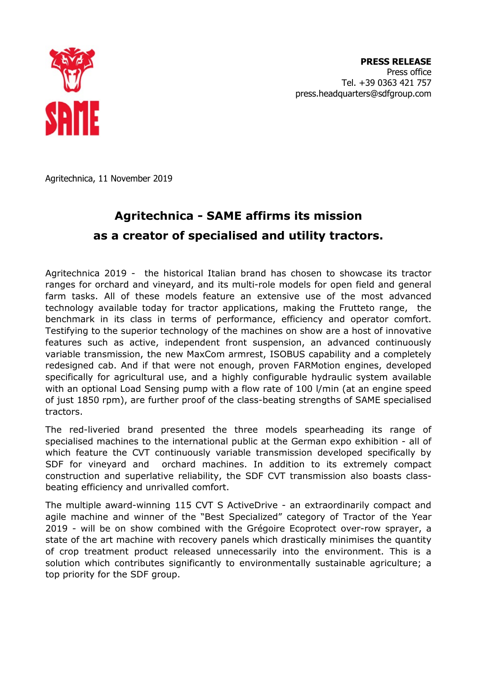

**PRESS RELEASE**  Press office Tel. +39 0363 421 757 press.headquarters@sdfgroup.com

Agritechnica, 11 November 2019

## **Agritechnica - SAME affirms its mission as a creator of specialised and utility tractors.**

Agritechnica 2019 - the historical Italian brand has chosen to showcase its tractor ranges for orchard and vineyard, and its multi-role models for open field and general farm tasks. All of these models feature an extensive use of the most advanced technology available today for tractor applications, making the Frutteto range, the benchmark in its class in terms of performance, efficiency and operator comfort. Testifying to the superior technology of the machines on show are a host of innovative features such as active, independent front suspension, an advanced continuously variable transmission, the new MaxCom armrest, ISOBUS capability and a completely redesigned cab. And if that were not enough, proven FARMotion engines, developed specifically for agricultural use, and a highly configurable hydraulic system available with an optional Load Sensing pump with a flow rate of 100 l/min (at an engine speed of just 1850 rpm), are further proof of the class-beating strengths of SAME specialised tractors.

The red-liveried brand presented the three models spearheading its range of specialised machines to the international public at the German expo exhibition - all of which feature the CVT continuously variable transmission developed specifically by SDF for vineyard and orchard machines. In addition to its extremely compact construction and superlative reliability, the SDF CVT transmission also boasts classbeating efficiency and unrivalled comfort.

The multiple award-winning 115 CVT S ActiveDrive - an extraordinarily compact and agile machine and winner of the "Best Specialized" category of Tractor of the Year 2019 - will be on show combined with the Grégoire Ecoprotect over-row sprayer, a state of the art machine with recovery panels which drastically minimises the quantity of crop treatment product released unnecessarily into the environment. This is a solution which contributes significantly to environmentally sustainable agriculture; a top priority for the SDF group.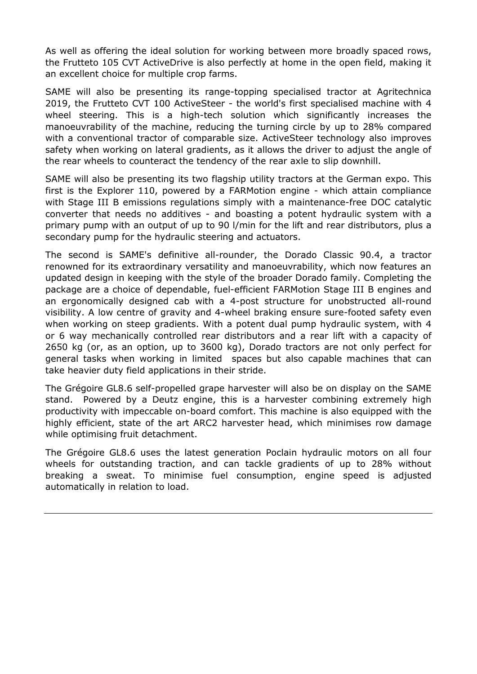As well as offering the ideal solution for working between more broadly spaced rows, the Frutteto 105 CVT ActiveDrive is also perfectly at home in the open field, making it an excellent choice for multiple crop farms.

SAME will also be presenting its range-topping specialised tractor at Agritechnica 2019, the Frutteto CVT 100 ActiveSteer - the world's first specialised machine with 4 wheel steering. This is a high-tech solution which significantly increases the manoeuvrability of the machine, reducing the turning circle by up to 28% compared with a conventional tractor of comparable size. ActiveSteer technology also improves safety when working on lateral gradients, as it allows the driver to adjust the angle of the rear wheels to counteract the tendency of the rear axle to slip downhill.

SAME will also be presenting its two flagship utility tractors at the German expo. This first is the Explorer 110, powered by a FARMotion engine - which attain compliance with Stage III B emissions regulations simply with a maintenance-free DOC catalytic converter that needs no additives - and boasting a potent hydraulic system with a primary pump with an output of up to 90 l/min for the lift and rear distributors, plus a secondary pump for the hydraulic steering and actuators.

The second is SAME's definitive all-rounder, the Dorado Classic 90.4, a tractor renowned for its extraordinary versatility and manoeuvrability, which now features an updated design in keeping with the style of the broader Dorado family. Completing the package are a choice of dependable, fuel-efficient FARMotion Stage III B engines and an ergonomically designed cab with a 4-post structure for unobstructed all-round visibility. A low centre of gravity and 4-wheel braking ensure sure-footed safety even when working on steep gradients. With a potent dual pump hydraulic system, with 4 or 6 way mechanically controlled rear distributors and a rear lift with a capacity of 2650 kg (or, as an option, up to 3600 kg), Dorado tractors are not only perfect for general tasks when working in limited spaces but also capable machines that can take heavier duty field applications in their stride.

The Grégoire GL8.6 self-propelled grape harvester will also be on display on the SAME stand. Powered by a Deutz engine, this is a harvester combining extremely high productivity with impeccable on-board comfort. This machine is also equipped with the highly efficient, state of the art ARC2 harvester head, which minimises row damage while optimising fruit detachment.

The Grégoire GL8.6 uses the latest generation Poclain hydraulic motors on all four wheels for outstanding traction, and can tackle gradients of up to 28% without breaking a sweat. To minimise fuel consumption, engine speed is adjusted automatically in relation to load.